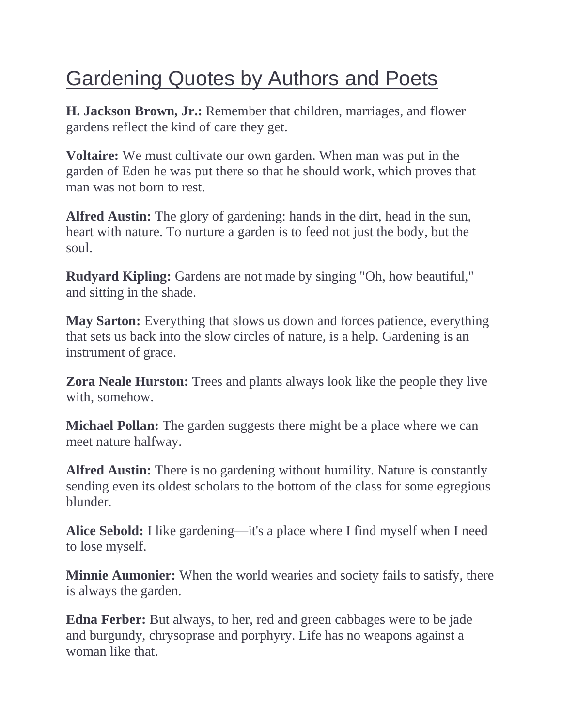## Gardening Quotes by Authors and Poets

**H. Jackson Brown, Jr.:** Remember that children, marriages, and flower gardens reflect the kind of care they get.

**Voltaire:** We must cultivate our own garden. When man was put in the garden of Eden he was put there so that he should work, which proves that man was not born to rest.

**Alfred Austin:** The glory of gardening: hands in the dirt, head in the sun, heart with nature. To nurture a garden is to feed not just the body, but the soul.

**Rudyard Kipling:** Gardens are not made by singing "Oh, how beautiful," and sitting in the shade.

**May Sarton:** Everything that slows us down and forces patience, everything that sets us back into the slow circles of nature, is a help. Gardening is an instrument of grace.

**Zora Neale Hurston:** Trees and plants always look like the people they live with, somehow.

**Michael Pollan:** The garden suggests there might be a place where we can meet nature halfway.

**Alfred Austin:** There is no gardening without humility. Nature is constantly sending even its oldest scholars to the bottom of the class for some egregious blunder.

**Alice Sebold:** I like gardening—it's a place where I find myself when I need to lose myself.

**Minnie Aumonier:** When the world wearies and society fails to satisfy, there is always the garden.

**Edna Ferber:** But always, to her, red and green cabbages were to be jade and burgundy, chrysoprase and porphyry. Life has no weapons against a woman like that.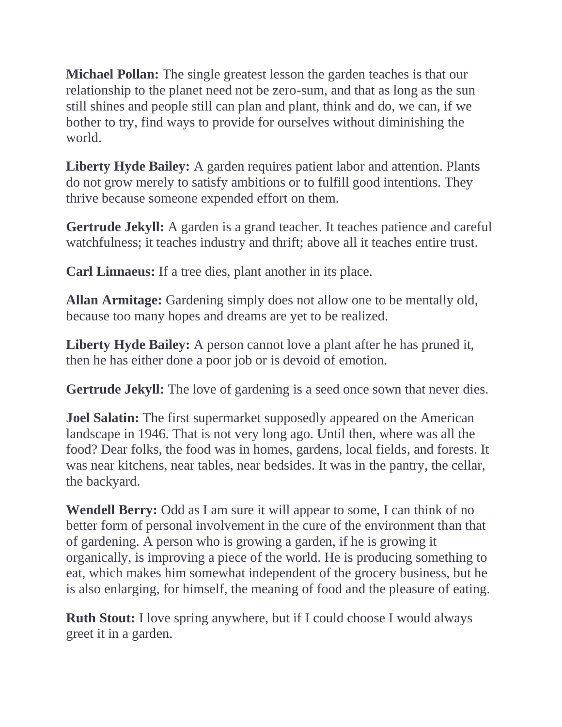**Michael Pollan:** The single greatest lesson the garden teaches is that our relationship to the planet need not be zero-sum, and that as long as the sun still shines and people still can plan and plant, think and do, we can, if we bother to try, find ways to provide for ourselves without diminishing the world.

**Liberty Hyde Bailey:** A garden requires patient labor and attention. Plants do not grow merely to satisfy ambitions or to fulfill good intentions. They thrive because someone expended effort on them.

Gertrude **Jekyll:** A garden is a grand teacher. It teaches patience and careful watchfulness; it teaches industry and thrift; above all it teaches entire trust.

**Carl Linnaeus:** If a tree dies, plant another in its place.

**Allan Armitage:** Gardening simply does not allow one to be mentally old, because too many hopes and dreams are yet to be realized.

**Liberty Hyde Bailey:** A person cannot love a plant after he has pruned it, then he has either done a poor job or is devoid of emotion.

**Gertrude Jekyll:** The love of gardening is a seed once sown that never dies.

**Joel Salatin:** The first supermarket supposedly appeared on the American landscape in 1946. That is not very long ago. Until then, where was all the food? Dear folks, the food was in homes, gardens, local fields, and forests. It was near kitchens, near tables, near bedsides. It was in the pantry, the cellar, the backyard.

**Wendell Berry:** Odd as I am sure it will appear to some, I can think of no better form of personal involvement in the cure of the environment than that of gardening. A person who is growing a garden, if he is growing it organically, is improving a piece of the world. He is producing something to eat, which makes him somewhat independent of the grocery business, but he is also enlarging, for himself, the meaning of food and the pleasure of eating.

**Ruth Stout:** I love spring anywhere, but if I could choose I would always greet it in a garden.